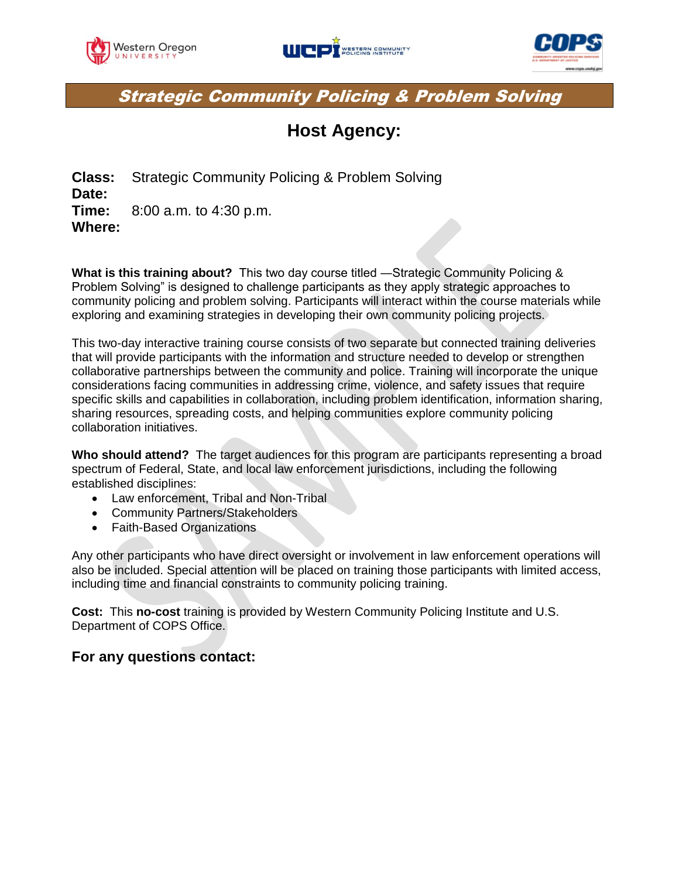





### Strategic Community Policing & Problem Solving

## **Host Agency:**

**Class:** Strategic Community Policing & Problem Solving **Date: Time:** 8:00 a.m. to 4:30 p.m. **Where:** 

**What is this training about?** This two day course titled ―Strategic Community Policing & Problem Solving" is designed to challenge participants as they apply strategic approaches to community policing and problem solving. Participants will interact within the course materials while exploring and examining strategies in developing their own community policing projects.

This two-day interactive training course consists of two separate but connected training deliveries that will provide participants with the information and structure needed to develop or strengthen collaborative partnerships between the community and police. Training will incorporate the unique considerations facing communities in addressing crime, violence, and safety issues that require specific skills and capabilities in collaboration, including problem identification, information sharing, sharing resources, spreading costs, and helping communities explore community policing collaboration initiatives.

**Who should attend?** The target audiences for this program are participants representing a broad spectrum of Federal, State, and local law enforcement jurisdictions, including the following established disciplines:

- Law enforcement, Tribal and Non-Tribal
- Community Partners/Stakeholders
- Faith-Based Organizations

Any other participants who have direct oversight or involvement in law enforcement operations will also be included. Special attention will be placed on training those participants with limited access, including time and financial constraints to community policing training.

**Cost:** This **no-cost** training is provided by Western Community Policing Institute and U.S. Department of COPS Office.

### **For any questions contact:**